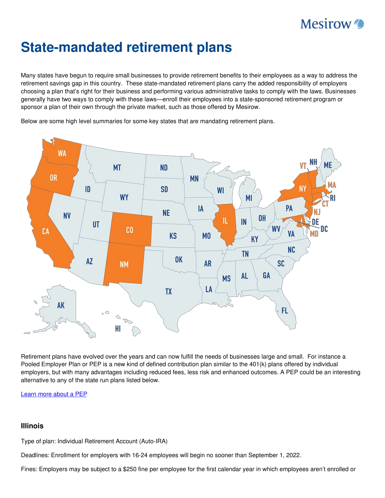# **Mesirow**

# **State-mandated retirement plans**

Many states have begun to require small businesses to provide retirement benefits to their employees as a way to address the retirement savings gap in this country. These state-mandated retirement plans carry the added responsibility of employers choosing a plan that's right for their business and performing various administrative tasks to comply with the laws. Businesses generally have two ways to comply with these laws—enroll their employees into a state-sponsored retirement program or sponsor a plan of their own through the private market, such as those offered by Mesirow.

Below are some high level summaries for some key states that are mandating retirement plans.



Retirement plans have evolved over the years and can now fulfill the needs of businesses large and small. For instance a Pooled Employer Plan or PEP is a new kind of defined contribution plan similar to the 401(k) plans offered by individual employers, but with many advantages including reduced fees, less risk and enhanced outcomes. A PEP could be an interesting alternative to any of the state run plans listed below.

[Learn](https://www.mesirow.com/capabilities/retirement-advisory-services/PEP-Employer) more about a PEP

# **Illinois**

Type of plan: Individual Retirement Account (Auto-IRA)

Deadlines: Enrollment for employers with 16-24 employees will begin no sooner than September 1, 2022.

Fines: Employers may be subject to a \$250 fine per employee for the first calendar year in which employees aren't enrolled or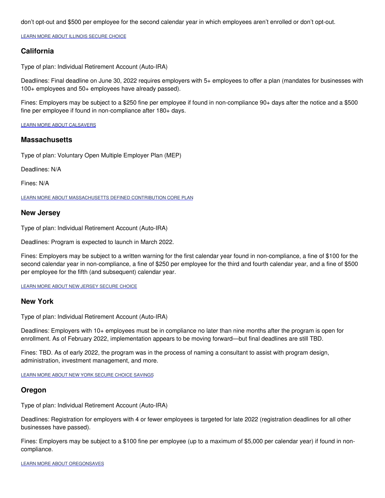don't opt-out and \$500 per employee for the second calendar year in which employees aren't enrolled or don't opt-out.

LEARN MORE ABOUT ILLINOIS [SECURE](https://www.ilsecurechoice.com/?gclid=EAIaIQobChMI8vPIjObK9gIV0xPUAR1mrw0ZEAAYASAAEgKpxPD_BwE&gclsrc=aw.ds) CHOICE

### **California**

Type of plan: Individual Retirement Account (Auto-IRA)

Deadlines: Final deadline on June 30, 2022 requires employers with 5+ employees to offer a plan (mandates for businesses with 100+ employees and 50+ employees have already passed).

Fines: Employers may be subject to a \$250 fine per employee if found in non-compliance 90+ days after the notice and a \$500 fine per employee if found in non-compliance after 180+ days.

LEARN MORE ABOUT [CALSAVERS](https://www.treasurer.ca.gov/calsavers/2021-Year-in-Review.pdf?vgo_ee=%2F9hke%2BJ3MVx8XCrKniCOPyX7WCjFTVwDxkDBhTN%2Fr6w%3D)

#### **Massachusetts**

Type of plan: Voluntary Open Multiple Employer Plan (MEP)

Deadlines: N/A

Fines: N/A

LEARN MORE ABOUT [MASSACHUSETTS](https://www.empower.com/client/mass/employer/resources/pdf/CORE-Plan-Adoption-Brochure.pdf) DEFINED CONTRIBUTION CORE PLAN

#### **New Jersey**

Type of plan: Individual Retirement Account (Auto-IRA)

Deadlines: Program is expected to launch in March 2022.

Fines: Employers may be subject to a written warning for the first calendar year found in non-compliance, a fine of \$100 for the second calendar year in non-compliance, a fine of \$250 per employee for the third and fourth calendar year, and a fine of \$500 per employee for the fifth (and subsequent) calendar year.

LEARN MORE ABOUT NEW JERSEY [SECURE](https://www.mesirow.com/capabilities/wealth-management/scanlon-bryan-irving-team) CHOICE

#### **New York**

Type of plan: Individual Retirement Account (Auto-IRA)

Deadlines: Employers with 10+ employees must be in compliance no later than nine months after the program is open for enrollment. As of February 2022, implementation appears to be moving forward—but final deadlines are still TBD.

Fines: TBD. As of early 2022, the program was in the process of naming a consultant to assist with program design, administration, investment management, and more.

LEARN MORE ABOUT NEW YORK SECURE CHOICE [SAVINGS](https://www.mesirow.com/capabilities/wealth-management/scanlon-bryan-irving-team)

#### **Oregon**

Type of plan: Individual Retirement Account (Auto-IRA)

Deadlines: Registration for employers with 4 or fewer employees is targeted for late 2022 (registration deadlines for all other businesses have passed).

Fines: Employers may be subject to a \$100 fine per employee (up to a maximum of \$5,000 per calendar year) if found in noncompliance.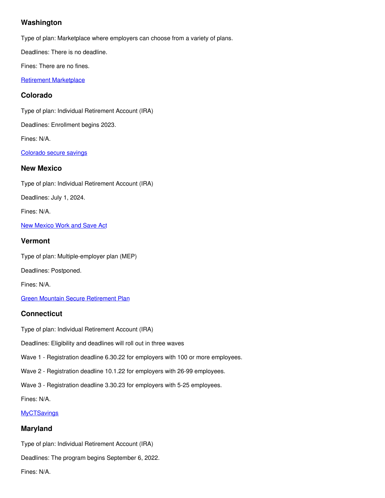# **Washington**

Type of plan: Marketplace where employers can choose from a variety of plans.

Deadlines: There is no deadline.

Fines: There are no fines.

Retirement [Marketplace](https://retirement-marketplace.com/)

# **Colorado**

Type of plan: Individual Retirement Account (IRA)

Deadlines: Enrollment begins 2023.

Fines: N/A.

[Colorado](https://treasury.colorado.gov/colorado-secure-savings-program) secure savings

# **New Mexico**

Type of plan: Individual Retirement Account (IRA)

Deadlines: July 1, 2024.

Fines: N/A.

New [Mexico](https://nmsto.gov/special-programs/work-and-save/#overview) Work and Save Act

# **Vermont**

Type of plan: Multiple-employer plan (MEP)

Deadlines: Postponed.

Fines: N/A.

Green Mountain Secure [Retirement](https://www.vermonttreasurer.gov/content/green-mountain-secure-retirement-plan) Plan

# **Connecticut**

Type of plan: Individual Retirement Account (IRA)

Deadlines: Eligibility and deadlines will roll out in three waves

Wave 1 - Registration deadline 6.30.22 for employers with 100 or more employees.

Wave 2 - Registration deadline 10.1.22 for employers with 26-99 employees.

Wave 3 - Registration deadline 3.30.23 for employers with 5-25 employees.

Fines: N/A.

#### **[MyCTSavings](https://myctsavings.com/)**

# **Maryland**

Type of plan: Individual Retirement Account (IRA)

Deadlines: The program begins September 6, 2022.

Fines: N/A.